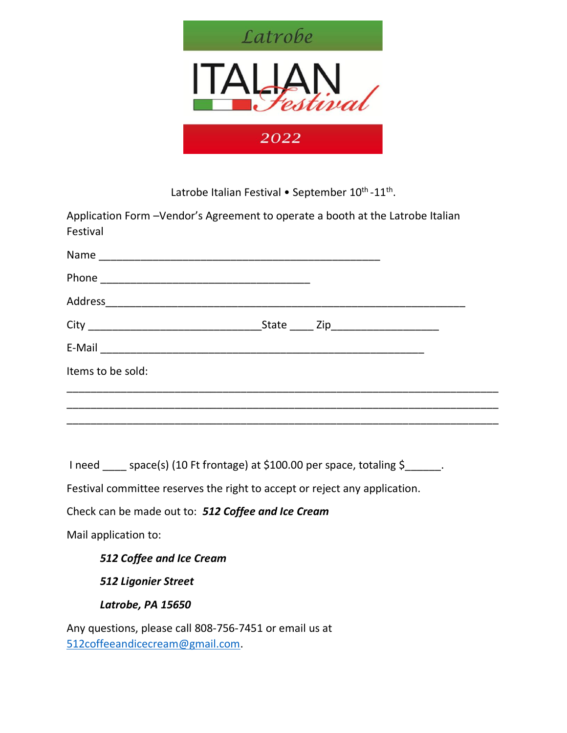

Latrobe Italian Festival • September  $10^{\text{th}}$ - $11^{\text{th}}$ .

Application Form –Vendor's Agreement to operate a booth at the Latrobe Italian Festival

|                   | State ____ Zip_____________________ |  |
|-------------------|-------------------------------------|--|
|                   |                                     |  |
| Items to be sold: |                                     |  |
|                   |                                     |  |
|                   |                                     |  |

I need \_\_\_\_ space(s) (10 Ft frontage) at \$100.00 per space, totaling \$\_\_\_\_\_\_.

Festival committee reserves the right to accept or reject any application.

Check can be made out to: *512 Coffee and Ice Cream*

Mail application to:

*512 Coffee and Ice Cream* 

*512 Ligonier Street* 

*Latrobe, PA 15650* 

Any questions, please call 808-756-7451 or email us at [512coffeeandicecream@gmail.com.](mailto:512coffeeandicecream@gmail.com)